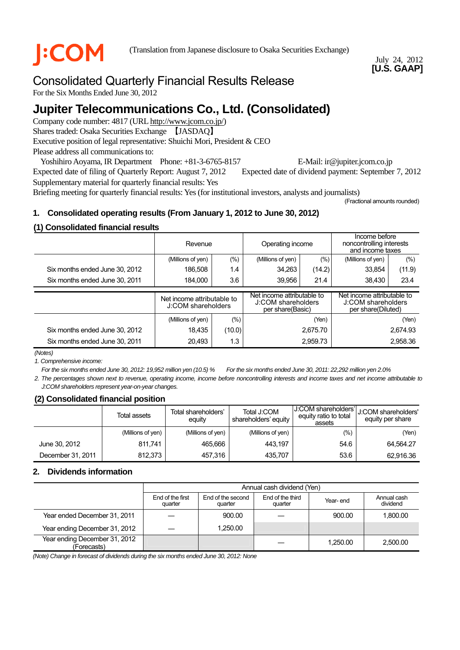## July 24, 2012 **[U.S. GAAP]**

# Consolidated Quarterly Financial Results Release

For the Six Months Ended June 30, 2012

# **Jupiter Telecommunications Co., Ltd. (Consolidated)**

Company code number: 4817 (URL [http://www.jcom.co.jp/](http://www.jcomxxxxxxxxx.co.jp/)) Shares traded: Osaka Securities Exchange 【JASDAQ】 Executive position of legal representative: Shuichi Mori, President & CEO Please address all communications to:

Yoshihiro Aoyama, IR Department Phone: +81-3-6765-8157 E-Mail: ir@jupiter.jcom.co.jp Expected date of filing of Quarterly Report: August 7, 2012 Expected date of dividend payment: September 7, 2012 Supplementary material for quarterly financial results: Yes

Briefing meeting for quarterly financial results: Yes (for institutional investors, analysts and journalists)

(Fractional amounts rounded)

## **1. Consolidated operating results (From January 1, 2012 to June 30, 2012)**

## **(1) Consolidated financial results**

|                                | Revenue                                          |        | Operating income                                                     |          | Income before<br>noncontrolling interests<br>and income taxes          |          |
|--------------------------------|--------------------------------------------------|--------|----------------------------------------------------------------------|----------|------------------------------------------------------------------------|----------|
|                                | (%)<br>(Millions of yen)                         |        | (Millions of yen)                                                    | $(\% )$  | (Millions of yen)                                                      | $(\% )$  |
| Six months ended June 30, 2012 | 186,508<br>1.4                                   |        | 34,263                                                               | (14.2)   | 33,854                                                                 | (11.9)   |
| Six months ended June 30, 2011 | 3.6<br>184.000                                   |        | 39,956<br>21.4                                                       |          | 38,430                                                                 | 23.4     |
|                                | Net income attributable to<br>J:COM shareholders |        |                                                                      |          |                                                                        |          |
|                                |                                                  |        | Net income attributable to<br>J:COM shareholders<br>per share(Basic) |          | Net income attributable to<br>J:COM shareholders<br>per share(Diluted) |          |
|                                | (Millions of yen)                                | (%)    |                                                                      | (Yen)    |                                                                        | (Yen)    |
| Six months ended June 30, 2012 | 18.435                                           | (10.0) |                                                                      | 2.675.70 |                                                                        | 2.674.93 |

*(Notes)* 

*1. Comprehensive income:* 

*For the six months ended June 30, 2012: 19,952 million yen (10.5) % For the six months ended June 30, 2011: 22,292 million yen 2.0%* 

*2. The percentages shown next to revenue, operating income, income before noncontrolling interests and income taxes and net income attributable to J:COM shareholders represent year-on-year changes.*

## **(2) Consolidated financial position**

|                   | Total assets      | Total shareholders'<br>equity | Total J:COM<br>shareholders' equity | J:COM shareholders'l<br>equity ratio to total<br>assets | U:COM shareholders'<br>equity per share |
|-------------------|-------------------|-------------------------------|-------------------------------------|---------------------------------------------------------|-----------------------------------------|
|                   | (Millions of yen) | (Millions of yen)             | (Millions of yen)                   | (%)                                                     | (Yen)                                   |
| June 30, 2012     | 811,741           | 465.666                       | 443.197                             | 54.6                                                    | 64,564.27                               |
| December 31, 2011 | 812.373           | 457.316                       | 435.707                             | 53.6                                                    | 62,916.36                               |

## **2. Dividends information**

|                                              |                             | Annual cash dividend (Yen)   |                             |          |                         |  |  |
|----------------------------------------------|-----------------------------|------------------------------|-----------------------------|----------|-------------------------|--|--|
|                                              | End of the first<br>quarter | End of the second<br>quarter | End of the third<br>quarter | Year-end | Annual cash<br>dividend |  |  |
| Year ended December 31, 2011                 |                             | 900.00                       |                             | 900.00   | 1.800.00                |  |  |
| Year ending December 31, 2012                |                             | 1.250.00                     |                             |          |                         |  |  |
| Year ending December 31, 2012<br>(Forecasts) |                             |                              |                             | 1.250.00 | 2.500.00                |  |  |

*(Note) Change in forecast of dividends during the six months ended June 30, 2012: None*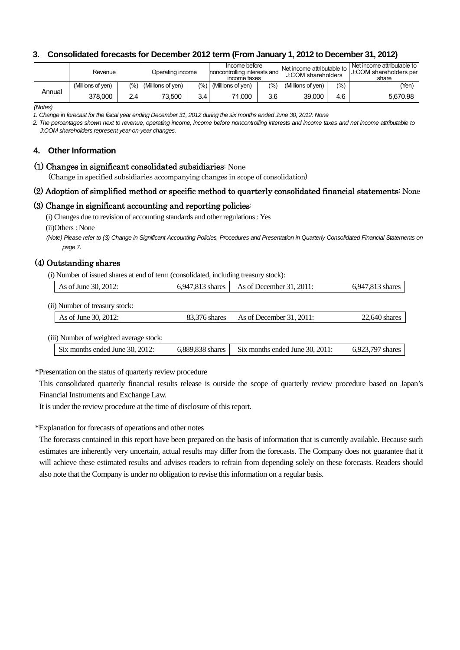## **3. Consolidated forecasts for December 2012 term (From January 1, 2012 to December 31, 2012)**

|        | Revenue           |                | Operating income  |     | Income before<br>noncontrolling interests and<br>income taxes |       | Net income attributable to<br>J:COM shareholders |      | Net income attributable to<br>J:COM shareholders per<br>share |
|--------|-------------------|----------------|-------------------|-----|---------------------------------------------------------------|-------|--------------------------------------------------|------|---------------------------------------------------------------|
|        | (Millions of ven) | $\frac{10}{6}$ | (Millions of ven) |     | $(\%)$ (Millions of yen)                                      | (9/0) | (Millions of ven)                                | (% ) | (Yen)                                                         |
| Annual | 378.000           | 2.4            | 73.500            | 3.4 | 71.000                                                        | 3.6   | 39.000                                           | 4.6  | 5.670.98                                                      |

*(Notes)* 

*1. Change in forecast for the fiscal year ending December 31, 2012 during the six months ended June 30, 2012: None*

*2. The percentages shown next to revenue, operating income, income before noncontrolling interests and income taxes and net income attributable to J:COM shareholders represent year-on-year changes.* 

#### **4. Other Information**

#### (1) Changes in significant consolidated subsidiaries: None

(Change in specified subsidiaries accompanying changes in scope of consolidation)

#### (2) Adoption of simplified method or specific method to quarterly consolidated financial statements: None

#### (3) Change in significant accounting and reporting policies:

(i) Changes due to revision of accounting standards and other regulations : Yes

(ii)Others : None

*(Note) Please refer to (3) Change in Significant Accounting Policies, Procedures and Presentation in Quarterly Consolidated Financial Statements on page 7.*

## (4) Outstanding shares

(i) Number of issued shares at end of term (consolidated, including treasury stock):

| As of June 30, 2012:                    | 6,947,813 shares | As of December $31, 2011$ :     | 6,947,813 shares |
|-----------------------------------------|------------------|---------------------------------|------------------|
| (ii) Number of treasury stock:          |                  |                                 |                  |
| As of June 30, 2012:                    | 83,376 shares    | As of December $31, 2011$ :     | $22,640$ shares  |
|                                         |                  |                                 |                  |
| (iii) Number of weighted average stock: |                  |                                 |                  |
| Six months ended June 30, 2012:         | 6,889,838 shares | Six months ended June 30, 2011: | 6,923,797 shares |

\*Presentation on the status of quarterly review procedure

This consolidated quarterly financial results release is outside the scope of quarterly review procedure based on Japan's Financial Instruments and Exchange Law.

It is under the review procedure at the time of disclosure of this report.

\*Explanation for forecasts of operations and other notes

The forecasts contained in this report have been prepared on the basis of information that is currently available. Because such estimates are inherently very uncertain, actual results may differ from the forecasts. The Company does not guarantee that it will achieve these estimated results and advises readers to refrain from depending solely on these forecasts. Readers should also note that the Company is under no obligation to revise this information on a regular basis.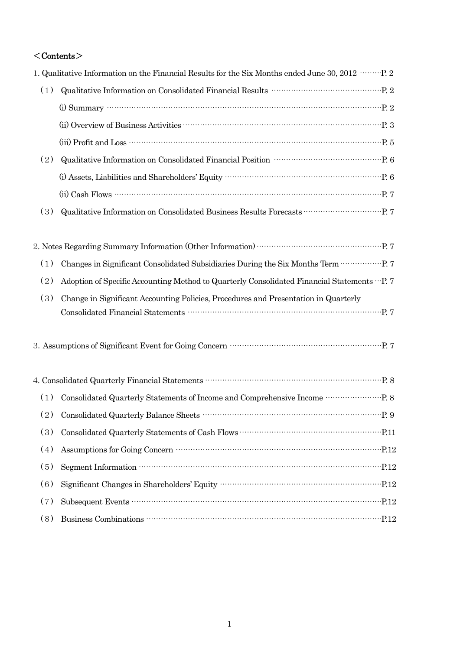## $<$ Contents $>$

|     | 1. Qualitative Information on the Financial Results for the Six Months ended June 30, 2012 …… P. 2                                                                                                                                                                                                                                           |
|-----|----------------------------------------------------------------------------------------------------------------------------------------------------------------------------------------------------------------------------------------------------------------------------------------------------------------------------------------------|
| (1) | Qualitative Information on Consolidated Financial Results<br>$\cdots\cdots\cdots\cdots\cdots\cdots\cdots\cdots\cdots\cdots\cdots\cdots$ P. 2                                                                                                                                                                                                 |
|     | (i) Summary $\cdots$ $\cdots$ $\cdots$ $\cdots$ $\cdots$ $\cdots$ $\cdots$ $\cdots$ $\cdots$ $\cdots$ $\cdots$ $\cdots$ $\cdots$ $\cdots$ $\cdots$ $\cdots$ $\cdots$ $\cdots$ $\cdots$ $\cdots$ $\cdots$ $\cdots$ $\cdots$ $\cdots$ $\cdots$ $\cdots$ $\cdots$ $\cdots$ $\cdots$ $\cdots$ $\cdots$ $\cdots$ $\cdots$ $\cdots$ $\cdots$       |
|     |                                                                                                                                                                                                                                                                                                                                              |
|     |                                                                                                                                                                                                                                                                                                                                              |
| (2) | Qualitative Information on Consolidated Financial Position<br>$\cdots\cdots\cdots\cdots\cdots\cdots\cdots\cdots\cdots\cdots$ P. 6                                                                                                                                                                                                            |
|     |                                                                                                                                                                                                                                                                                                                                              |
|     | $(ii) Cash$ Flows $\cdots$ $\cdots$ $\cdots$ $\cdots$ $\cdots$ $\cdots$ $\cdots$ $\cdots$ $\cdots$ $\cdots$ $\cdots$ $\cdots$ $\cdots$ $\cdots$ $\cdots$ $\cdots$ $\cdots$ $\cdots$ $\cdots$ $\cdots$ $\cdots$ $\cdots$ $\cdots$ $\cdots$ $\cdots$ $\cdots$ $\cdots$ $\cdots$ $\cdots$ $\cdots$ $\cdots$ $\cdots$ $\cdots$ $\cdots$ $\cdots$ |
| (3) | Qualitative Information on Consolidated Business Results Forecasts<br>$\cdots\cdots\cdots\cdots\cdots\cdots\cdots\cdots$ P. 7                                                                                                                                                                                                                |
|     |                                                                                                                                                                                                                                                                                                                                              |
|     |                                                                                                                                                                                                                                                                                                                                              |
| (1) |                                                                                                                                                                                                                                                                                                                                              |
| (2) | Adoption of Specific Accounting Method to Quarterly Consolidated Financial Statements  P. 7                                                                                                                                                                                                                                                  |
| (3) | Change in Significant Accounting Policies, Procedures and Presentation in Quarterly                                                                                                                                                                                                                                                          |
|     |                                                                                                                                                                                                                                                                                                                                              |
|     | 3. Assumptions of Significant Event for Going Concern $\cdots\cdots\cdots\cdots\cdots\cdots\cdots\cdots\cdots\cdots\cdots$ P. 7                                                                                                                                                                                                              |
|     |                                                                                                                                                                                                                                                                                                                                              |
| (1) | Consolidated Quarterly Statements of Income and Comprehensive Income ……………………. P. 8                                                                                                                                                                                                                                                          |
|     |                                                                                                                                                                                                                                                                                                                                              |
| (3) |                                                                                                                                                                                                                                                                                                                                              |
| (4) |                                                                                                                                                                                                                                                                                                                                              |
| (5) |                                                                                                                                                                                                                                                                                                                                              |
| (6) | Significant Changes in Shareholders' Equity manufactured and P.12                                                                                                                                                                                                                                                                            |
| (7) |                                                                                                                                                                                                                                                                                                                                              |
| (8) |                                                                                                                                                                                                                                                                                                                                              |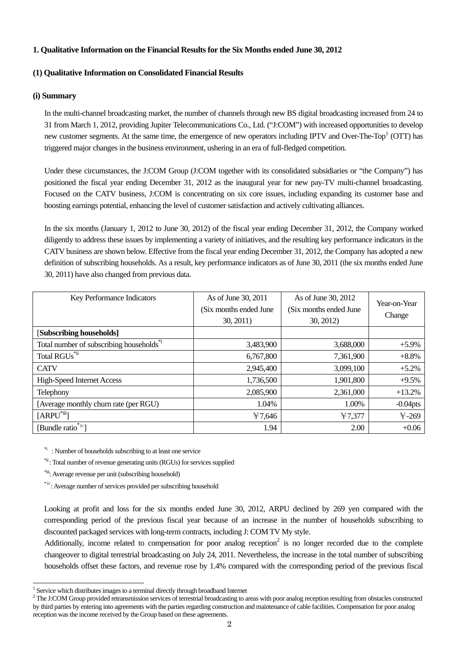#### **1. Qualitative Information on the Financial Results for the Six Months ended June 30, 2012**

#### **(1) Qualitative Information on Consolidated Financial Results**

#### **(i) Summary**

In the multi-channel broadcasting market, the number of channels through new BS digital broadcasting increased from 24 to 31 from March 1, 2012, providing Jupiter Telecommunications Co., Ltd. ("J:COM") with increased opportunities to develop new customer segments. At the same time, the emergence of new operators including IPTV and Over-The-Top<sup>1</sup> (OTT) has triggered major changes in the business environment, ushering in an era of full-fledged competition.

Under these circumstances, the J:COM Group (J:COM together with its consolidated subsidiaries or "the Company") has positioned the fiscal year ending December 31, 2012 as the inaugural year for new pay-TV multi-channel broadcasting. Focused on the CATV business, J:COM is concentrating on six core issues, including expanding its customer base and boosting earnings potential, enhancing the level of customer satisfaction and actively cultivating alliances.

In the six months (January 1, 2012 to June 30, 2012) of the fiscal year ending December 31, 2012, the Company worked diligently to address these issues by implementing a variety of initiatives, and the resulting key performance indicators in the CATV business are shown below. Effective from the fiscal year ending December 31, 2012, the Company has adopted a new definition of subscribing households. As a result, key performance indicators as of June 30, 2011 (the six months ended June 30, 2011) have also changed from previous data.

| Key Performance Indicators                           | As of June 30, 2011<br>(Six months ended June<br>30, 2011) | As of June 30, 2012<br>(Six months ended June<br>30, 2012 | Year-on-Year<br>Change |
|------------------------------------------------------|------------------------------------------------------------|-----------------------------------------------------------|------------------------|
| [Subscribing households]                             |                                                            |                                                           |                        |
| Total number of subscribing households <sup>*1</sup> | 3,483,900                                                  | 3,688,000                                                 | $+5.9%$                |
| Total RGUs <sup>*ii</sup>                            | 6,767,800                                                  | 7,361,900                                                 | $+8.8%$                |
| <b>CATV</b>                                          | 2,945,400                                                  | 3,099,100                                                 | $+5.2%$                |
| <b>High-Speed Internet Access</b>                    | 1,736,500                                                  | 1,901,800                                                 | $+9.5%$                |
| Telephony                                            | 2,085,900                                                  | 2,361,000                                                 | $+13.2%$               |
| [Average monthly churn rate (per RGU)                | 1.04%                                                      | 1.00%                                                     | $-0.04$ pts            |
| $[ARPU^*$ iii]                                       | ¥7,646                                                     | 47,377                                                    | $4 - 269$              |
| [Bundle ratio <sup>*iv</sup> ]                       | 1.94                                                       | 2.00                                                      | $+0.06$                |

<sup>\*i</sup>: Number of households subscribing to at least one service

\*ii : Total number of revenue generating units (RGUs) for services supplied

\*iii: Average revenue per unit (subscribing household)

 $\overline{a}$ 

\*ⅳ: Average number of services provided per subscribing household

Looking at profit and loss for the six months ended June 30, 2012, ARPU declined by 269 yen compared with the corresponding period of the previous fiscal year because of an increase in the number of households subscribing to discounted packaged services with long-term contracts, including J: COM TV My style.

Additionally, income related to compensation for poor analog reception<sup>[2](#page-3-1)</sup> is no longer recorded due to the complete changeover to digital terrestrial broadcasting on July 24, 2011. Nevertheless, the increase in the total number of subscribing households offset these factors, and revenue rose by 1.4% compared with the corresponding period of the previous fiscal

<sup>&</sup>lt;sup>1</sup> Service which distributes images to a terminal directly through broadband Internet  $\frac{2}{3}$  The LCOM Group provided retrogenisation continues of termstrial broadcasting to a

<span id="page-3-1"></span><span id="page-3-0"></span>The J:COM Group provided retransmission services of terrestrial broadcasting to areas with poor analog reception resulting from obstacles constructed by third parties by entering into agreements with the parties regarding construction and maintenance of cable facilities. Compensation for poor analog reception was the income received by the Group based on these agreements.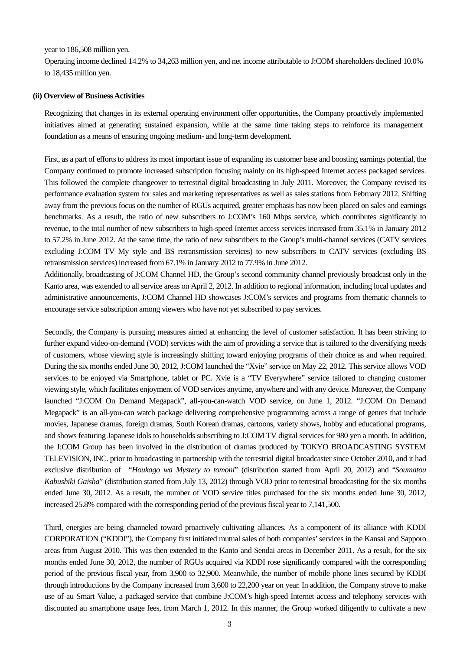year to 186,508 million yen.

Operating income declined 14.2% to 34,263 million yen, and net income attributable to J:COM shareholders declined 10.0% to 18,435 million yen.

#### **(ii) Overview of Business Activities**

Recognizing that changes in its external operating environment offer opportunities, the Company proactively implemented initiatives aimed at generating sustained expansion, while at the same time taking steps to reinforce its management foundation as a means of ensuring ongoing medium- and long-term development.

First, as a part of efforts to address its most important issue of expanding its customer base and boosting earnings potential, the Company continued to promote increased subscription focusing mainly on its high-speed Internet access packaged services. This followed the complete changeover to terrestrial digital broadcasting in July 2011. Moreover, the Company revised its performance evaluation system for sales and marketing representatives as well as sales stations from February 2012. Shifting away from the previous focus on the number of RGUs acquired, greater emphasis has now been placed on sales and earnings benchmarks. As a result, the ratio of new subscribers to J:COM's 160 Mbps service, which contributes significantly to revenue, to the total number of new subscribers to high-speed Internet access services increased from 35.1% in January 2012 to 57.2% in June 2012. At the same time, the ratio of new subscribers to the Group's multi-channel services (CATV services excluding J:COM TV My style and BS retransmission services) to new subscribers to CATV services (excluding BS retransmission services) increased from 67.1% in January 2012 to 77.9% in June 2012.

Additionally, broadcasting of J:COM Channel HD, the Group's second community channel previously broadcast only in the Kanto area, was extended to all service areas on April 2, 2012. In addition to regional information, including local updates and administrative announcements, J:COM Channel HD showcases J:COM's services and programs from thematic channels to encourage service subscription among viewers who have not yet subscribed to pay services.

Secondly, the Company is pursuing measures aimed at enhancing the level of customer satisfaction. It has been striving to further expand video-on-demand (VOD) services with the aim of providing a service that is tailored to the diversifying needs of customers, whose viewing style is increasingly shifting toward enjoying programs of their choice as and when required. During the six months ended June 30, 2012, J:COM launched the "Xvie" service on May 22, 2012. This service allows VOD services to be enjoyed via Smartphone, tablet or PC. Xvie is a "TV Everywhere" service tailored to changing customer viewing style, which facilitates enjoyment of VOD services anytime, anywhere and with any device. Moreover, the Company launched "J:COM On Demand Megapack", all-you-can-watch VOD service, on June 1, 2012. "J:COM On Demand Megapack" is an all-you-can watch package delivering comprehensive programming across a range of genres that include movies, Japanese dramas, foreign dramas, South Korean dramas, cartoons, variety shows, hobby and educational programs, and shows featuring Japanese idols to households subscribing to J:COM TV digital services for 980 yen a month. In addition, the J:COM Group has been involved in the distribution of dramas produced by TOKYO BROADCASTING SYSTEM TELEVISION, INC. prior to broadcasting in partnership with the terrestrial digital broadcaster since October 2010, and it had exclusive distribution of "*Houkago wa Mystery to tomoni*" (distribution started from April 20, 2012) and "*Soumatou Kabushiki Gaisha*" (distribution started from July 13, 2012) through VOD prior to terrestrial broadcasting for the six months ended June 30, 2012. As a result, the number of VOD service titles purchased for the six months ended June 30, 2012, increased 25.8% compared with the corresponding period of the previous fiscal year to 7,141,500.

Third, energies are being channeled toward proactively cultivating alliances. As a component of its alliance with KDDI CORPORATION ("KDDI"), the Company first initiated mutual sales of both companies' services in the Kansai and Sapporo areas from August 2010. This was then extended to the Kanto and Sendai areas in December 2011. As a result, for the six months ended June 30, 2012, the number of RGUs acquired via KDDI rose significantly compared with the corresponding period of the previous fiscal year, from 3,900 to 32,900. Meanwhile, the number of mobile phone lines secured by KDDI through introductions by the Company increased from 3,600 to 22,200 year on year. In addition, the Company strove to make use of au Smart Value, a packaged service that combine J:COM's high-speed Internet access and telephony services with discounted au smartphone usage fees, from March 1, 2012. In this manner, the Group worked diligently to cultivate a new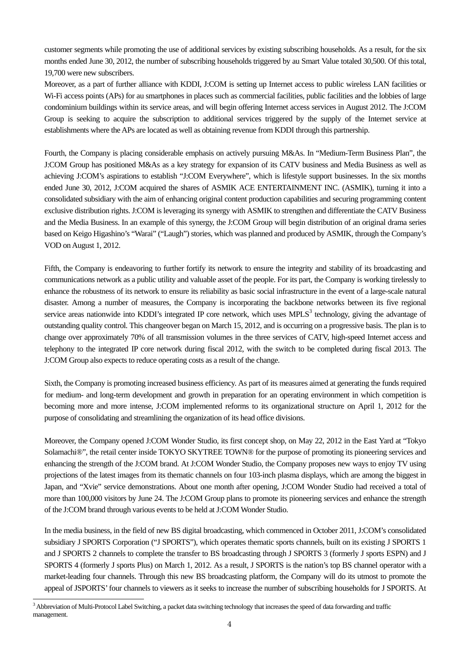customer segments while promoting the use of additional services by existing subscribing households. As a result, for the six months ended June 30, 2012, the number of subscribing households triggered by au Smart Value totaled 30,500. Of this total, 19,700 were new subscribers.

Moreover, as a part of further alliance with KDDI, J:COM is setting up Internet access to public wireless LAN facilities or Wi-Fi access points (APs) for au smartphones in places such as commercial facilities, public facilities and the lobbies of large condominium buildings within its service areas, and will begin offering Internet access services in August 2012. The J:COM Group is seeking to acquire the subscription to additional services triggered by the supply of the Internet service at establishments where the APs are located as well as obtaining revenue from KDDI through this partnership.

Fourth, the Company is placing considerable emphasis on actively pursuing M&As. In "Medium-Term Business Plan", the J:COM Group has positioned M&As as a key strategy for expansion of its CATV business and Media Business as well as achieving J:COM's aspirations to establish "J:COM Everywhere", which is lifestyle support businesses. In the six months ended June 30, 2012, J:COM acquired the shares of ASMIK ACE ENTERTAINMENT INC. (ASMIK), turning it into a consolidated subsidiary with the aim of enhancing original content production capabilities and securing programming content exclusive distribution rights. J:COM is leveraging its synergy with ASMIK to strengthen and differentiate the CATV Business and the Media Business. In an example of this synergy, the J:COM Group will begin distribution of an original drama series based on Keigo Higashino's "Warai" ("Laugh") stories, which was planned and produced by ASMIK, through the Company's VOD on August 1, 2012.

Fifth, the Company is endeavoring to further fortify its network to ensure the integrity and stability of its broadcasting and communications network as a public utility and valuable asset of the people. For its part, the Company is working tirelessly to enhance the robustness of its network to ensure its reliability as basic social infrastructure in the event of a large-scale natural disaster. Among a number of measures, the Company is incorporating the backbone networks between its five regional service areas nationwide into KDDI's integrated IP core network, which uses  $MPLS<sup>3</sup>$  technology, giving the advantage of outstanding quality control. This changeover began on March 15, 2012, and is occurring on a progressive basis. The plan is to change over approximately 70% of all transmission volumes in the three services of CATV, high-speed Internet access and telephony to the integrated IP core network during fiscal 2012, with the switch to be completed during fiscal 2013. The J:COM Group also expects to reduce operating costs as a result of the change.

Sixth, the Company is promoting increased business efficiency. As part of its measures aimed at generating the funds required for medium- and long-term development and growth in preparation for an operating environment in which competition is becoming more and more intense, J:COM implemented reforms to its organizational structure on April 1, 2012 for the purpose of consolidating and streamlining the organization of its head office divisions.

Moreover, the Company opened J:COM Wonder Studio, its first concept shop, on May 22, 2012 in the East Yard at "Tokyo Solamachi®", the retail center inside TOKYO SKYTREE TOWN® for the purpose of promoting its pioneering services and enhancing the strength of the J:COM brand. At J:COM Wonder Studio, the Company proposes new ways to enjoy TV using projections of the latest images from its thematic channels on four 103-inch plasma displays, which are among the biggest in Japan, and "Xvie" service demonstrations. About one month after opening, J:COM Wonder Studio had received a total of more than 100,000 visitors by June 24. The J:COM Group plans to promote its pioneering services and enhance the strength of the J:COM brand through various events to be held at J:COM Wonder Studio.

In the media business, in the field of new BS digital broadcasting, which commenced in October 2011, J:COM's consolidated subsidiary J SPORTS Corporation ("J SPORTS"), which operates thematic sports channels, built on its existing J SPORTS 1 and J SPORTS 2 channels to complete the transfer to BS broadcasting through J SPORTS 3 (formerly J sports ESPN) and J SPORTS 4 (formerly J sports Plus) on March 1, 2012. As a result, J SPORTS is the nation's top BS channel operator with a market-leading four channels. Through this new BS broadcasting platform, the Company will do its utmost to promote the appeal of JSPORTS' four channels to viewers as it seeks to increase the number of subscribing households for J SPORTS. At

 $\overline{a}$ 

<span id="page-5-0"></span><sup>&</sup>lt;sup>3</sup> Abbreviation of Multi-Protocol Label Switching, a packet data switching technology that increases the speed of data forwarding and traffic management.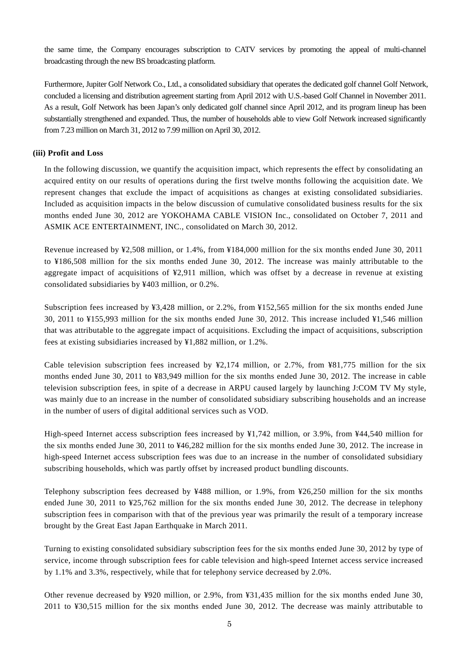the same time, the Company encourages subscription to CATV services by promoting the appeal of multi-channel broadcasting through the new BS broadcasting platform.

Furthermore, Jupiter Golf Network Co., Ltd., a consolidated subsidiary that operates the dedicated golf channel Golf Network, concluded a licensing and distribution agreement starting from April 2012 with U.S.-based Golf Channel in November 2011. As a result, Golf Network has been Japan's only dedicated golf channel since April 2012, and its program lineup has been substantially strengthened and expanded. Thus, the number of households able to view Golf Network increased significantly from 7.23 million on March 31, 2012 to 7.99 million on April 30, 2012.

#### **(iii) Profit and Loss**

In the following discussion, we quantify the acquisition impact, which represents the effect by consolidating an acquired entity on our results of operations during the first twelve months following the acquisition date. We represent changes that exclude the impact of acquisitions as changes at existing consolidated subsidiaries. Included as acquisition impacts in the below discussion of cumulative consolidated business results for the six months ended June 30, 2012 are YOKOHAMA CABLE VISION Inc., consolidated on October 7, 2011 and ASMIK ACE ENTERTAINMENT, INC., consolidated on March 30, 2012.

Revenue increased by ¥2,508 million, or 1.4%, from ¥184,000 million for the six months ended June 30, 2011 to ¥186,508 million for the six months ended June 30, 2012. The increase was mainly attributable to the aggregate impact of acquisitions of ¥2,911 million, which was offset by a decrease in revenue at existing consolidated subsidiaries by ¥403 million, or 0.2%.

Subscription fees increased by ¥3,428 million, or 2.2%, from ¥152,565 million for the six months ended June 30, 2011 to ¥155,993 million for the six months ended June 30, 2012. This increase included ¥1,546 million that was attributable to the aggregate impact of acquisitions. Excluding the impact of acquisitions, subscription fees at existing subsidiaries increased by ¥1,882 million, or 1.2%.

Cable television subscription fees increased by  $\frac{1}{2}$ , 174 million, or 2.7%, from  $\frac{1}{2}$ 81,775 million for the six months ended June 30, 2011 to ¥83,949 million for the six months ended June 30, 2012. The increase in cable television subscription fees, in spite of a decrease in ARPU caused largely by launching J:COM TV My style, was mainly due to an increase in the number of consolidated subsidiary subscribing households and an increase in the number of users of digital additional services such as VOD.

High-speed Internet access subscription fees increased by ¥1,742 million, or 3.9%, from ¥44,540 million for the six months ended June 30, 2011 to ¥46,282 million for the six months ended June 30, 2012. The increase in high-speed Internet access subscription fees was due to an increase in the number of consolidated subsidiary subscribing households, which was partly offset by increased product bundling discounts.

Telephony subscription fees decreased by ¥488 million, or 1.9%, from ¥26,250 million for the six months ended June 30, 2011 to ¥25,762 million for the six months ended June 30, 2012. The decrease in telephony subscription fees in comparison with that of the previous year was primarily the result of a temporary increase brought by the Great East Japan Earthquake in March 2011.

Turning to existing consolidated subsidiary subscription fees for the six months ended June 30, 2012 by type of service, income through subscription fees for cable television and high-speed Internet access service increased by 1.1% and 3.3%, respectively, while that for telephony service decreased by 2.0%.

Other revenue decreased by ¥920 million, or 2.9%, from ¥31,435 million for the six months ended June 30, 2011 to ¥30,515 million for the six months ended June 30, 2012. The decrease was mainly attributable to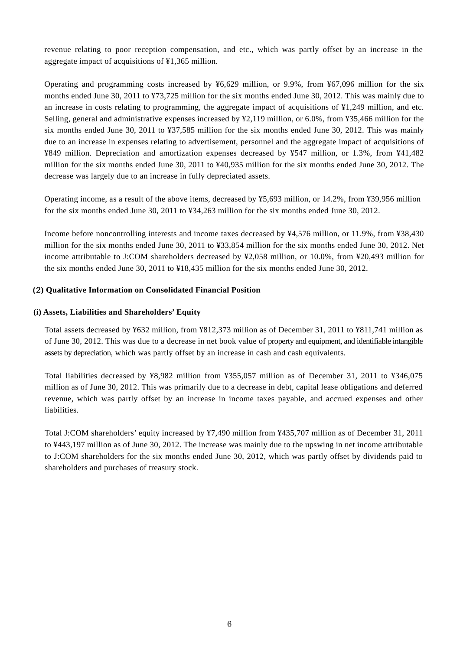revenue relating to poor reception compensation, and etc., which was partly offset by an increase in the aggregate impact of acquisitions of ¥1,365 million.

Operating and programming costs increased by ¥6,629 million, or 9.9%, from ¥67,096 million for the six months ended June 30, 2011 to ¥73,725 million for the six months ended June 30, 2012. This was mainly due to an increase in costs relating to programming, the aggregate impact of acquisitions of ¥1,249 million, and etc. Selling, general and administrative expenses increased by ¥2,119 million, or 6.0%, from ¥35,466 million for the six months ended June 30, 2011 to ¥37,585 million for the six months ended June 30, 2012. This was mainly due to an increase in expenses relating to advertisement, personnel and the aggregate impact of acquisitions of ¥849 million. Depreciation and amortization expenses decreased by ¥547 million, or 1.3%, from ¥41,482 million for the six months ended June 30, 2011 to ¥40,935 million for the six months ended June 30, 2012. The decrease was largely due to an increase in fully depreciated assets.

Operating income, as a result of the above items, decreased by ¥5,693 million, or 14.2%, from ¥39,956 million for the six months ended June 30, 2011 to ¥34,263 million for the six months ended June 30, 2012.

Income before noncontrolling interests and income taxes decreased by ¥4,576 million, or 11.9%, from ¥38,430 million for the six months ended June 30, 2011 to ¥33,854 million for the six months ended June 30, 2012. Net income attributable to J:COM shareholders decreased by ¥2,058 million, or 10.0%, from ¥20,493 million for the six months ended June 30, 2011 to ¥18,435 million for the six months ended June 30, 2012.

#### **(**2**) Qualitative Information on Consolidated Financial Position**

#### **(i) Assets, Liabilities and Shareholders' Equity**

Total assets decreased by ¥632 million, from ¥812,373 million as of December 31, 2011 to ¥811,741 million as of June 30, 2012. This was due to a decrease in net book value of property and equipment, and identifiable intangible assets by depreciation, which was partly offset by an increase in cash and cash equivalents.

Total liabilities decreased by ¥8,982 million from ¥355,057 million as of December 31, 2011 to ¥346,075 million as of June 30, 2012. This was primarily due to a decrease in debt, capital lease obligations and deferred revenue, which was partly offset by an increase in income taxes payable, and accrued expenses and other liabilities.

Total J:COM shareholders' equity increased by ¥7,490 million from ¥435,707 million as of December 31, 2011 to ¥443,197 million as of June 30, 2012. The increase was mainly due to the upswing in net income attributable to J:COM shareholders for the six months ended June 30, 2012, which was partly offset by dividends paid to shareholders and purchases of treasury stock.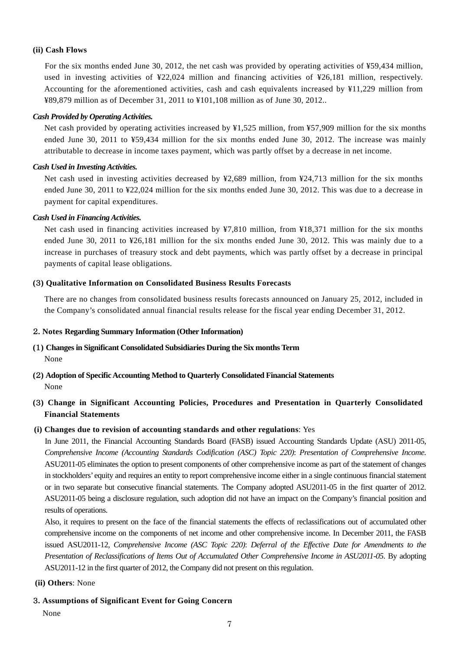#### **(ii) Cash Flows**

For the six months ended June 30, 2012, the net cash was provided by operating activities of ¥59,434 million, used in investing activities of ¥22,024 million and financing activities of ¥26,181 million, respectively. Accounting for the aforementioned activities, cash and cash equivalents increased by ¥11,229 million from ¥89,879 million as of December 31, 2011 to ¥101,108 million as of June 30, 2012..

#### *Cash Provided by Operating Activities.*

Net cash provided by operating activities increased by ¥1,525 million, from ¥57,909 million for the six months ended June 30, 2011 to ¥59,434 million for the six months ended June 30, 2012. The increase was mainly attributable to decrease in income taxes payment, which was partly offset by a decrease in net income.

#### *Cash Used in Investing Activities.*

Net cash used in investing activities decreased by ¥2,689 million, from ¥24,713 million for the six months ended June 30, 2011 to ¥22,024 million for the six months ended June 30, 2012. This was due to a decrease in payment for capital expenditures.

#### *Cash Used in Financing Activities.*

Net cash used in financing activities increased by ¥7,810 million, from ¥18,371 million for the six months ended June 30, 2011 to ¥26,181 million for the six months ended June 30, 2012. This was mainly due to a increase in purchases of treasury stock and debt payments, which was partly offset by a decrease in principal payments of capital lease obligations.

#### **(**3**) Qualitative Information on Consolidated Business Results Forecasts**

There are no changes from consolidated business results forecasts announced on January 25, 2012, included in the Company's consolidated annual financial results release for the fiscal year ending December 31, 2012.

#### 2**. Notes Regarding Summary Information (Other Information)**

## **(**1**) Changes in Significant Consolidated Subsidiaries During the Six months Term** None

**(**2**) Adoption of Specific Accounting Method to Quarterly Consolidated Financial Statements**  None

## **(**3**) Change in Significant Accounting Policies, Procedures and Presentation in Quarterly Consolidated Financial Statements**

#### **(i) Changes due to revision of accounting standards and other regulations**: Yes

In June 2011, the Financial Accounting Standards Board (FASB) issued Accounting Standards Update (ASU) 2011-05, *Comprehensive Income (Accounting Standards Codification (ASC) Topic 220)*: *Presentation of Comprehensive Income*. ASU2011-05 eliminates the option to present components of other comprehensive income as part of the statement of changes in stockholders' equity and requires an entity to report comprehensive income either in a single continuous financial statement or in two separate but consecutive financial statements. The Company adopted ASU2011-05 in the first quarter of 2012. ASU2011-05 being a disclosure regulation, such adoption did not have an impact on the Company's financial position and results of operations.

Also, it requires to present on the face of the financial statements the effects of reclassifications out of accumulated other comprehensive income on the components of net income and other comprehensive income. In December 2011, the FASB issued ASU2011-12, *Comprehensive Income (ASC Topic 220)*: *Deferral of the Effective Date for Amendments to the Presentation of Reclassifications of Items Out of Accumulated Other Comprehensive Income in ASU2011-05*. By adopting ASU2011-12 in the first quarter of 2012, the Company did not present on this regulation.

#### **(ii) Others**: None

#### 3**. Assumptions of Significant Event for Going Concern**

None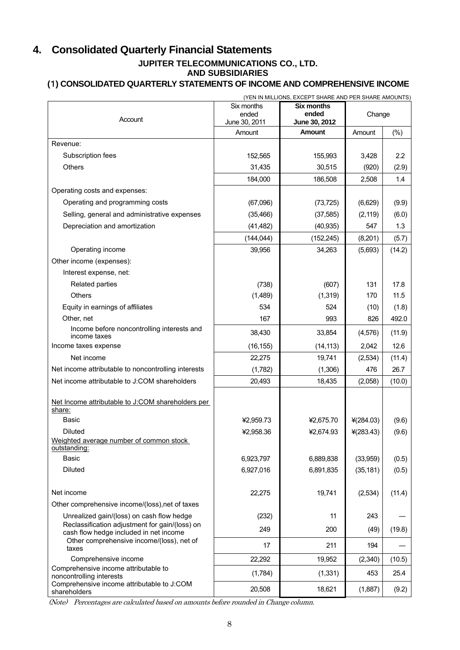## **4. Consolidated Quarterly Financial Statements JUPITER TELECOMMUNICATIONS CO., LTD.**

**AND SUBSIDIARIES** 

## **(**1**) CONSOLIDATED QUARTERLY STATEMENTS OF INCOME AND COMPREHENSIVE INCOME**

|                                                                                          | (YEN IN MILLIONS, EXCEPT SHARE AND PER SHARE AMOUNTS) |                        |              |        |  |  |  |
|------------------------------------------------------------------------------------------|-------------------------------------------------------|------------------------|--------------|--------|--|--|--|
|                                                                                          | Six months                                            | <b>Six months</b>      |              |        |  |  |  |
| Account                                                                                  | ended<br>June 30, 2011                                | ended<br>June 30, 2012 | Change       |        |  |  |  |
|                                                                                          | Amount                                                | <b>Amount</b>          | Amount       | (%)    |  |  |  |
| Revenue:                                                                                 |                                                       |                        |              |        |  |  |  |
| Subscription fees                                                                        | 152,565                                               | 155,993                | 3,428        | 2.2    |  |  |  |
| <b>Others</b>                                                                            | 31,435                                                |                        |              |        |  |  |  |
|                                                                                          |                                                       | 30,515                 | (920)        | (2.9)  |  |  |  |
|                                                                                          | 184,000                                               | 186,508                | 2,508        | 1.4    |  |  |  |
| Operating costs and expenses:                                                            |                                                       |                        |              |        |  |  |  |
| Operating and programming costs                                                          | (67,096)                                              | (73, 725)              | (6,629)      | (9.9)  |  |  |  |
| Selling, general and administrative expenses                                             | (35, 466)                                             | (37, 585)              | (2, 119)     | (6.0)  |  |  |  |
| Depreciation and amortization                                                            | (41, 482)                                             | (40, 935)              | 547          | 1.3    |  |  |  |
|                                                                                          | (144, 044)                                            | (152, 245)             | (8,201)      | (5.7)  |  |  |  |
| Operating income                                                                         | 39,956                                                | 34,263                 | (5,693)      | (14.2) |  |  |  |
| Other income (expenses):                                                                 |                                                       |                        |              |        |  |  |  |
| Interest expense, net:                                                                   |                                                       |                        |              |        |  |  |  |
| Related parties                                                                          | (738)                                                 | (607)                  | 131          | 17.8   |  |  |  |
| <b>Others</b>                                                                            | (1,489)                                               | (1, 319)               | 170          | 11.5   |  |  |  |
| Equity in earnings of affiliates                                                         | 534                                                   | 524                    | (10)         | (1.8)  |  |  |  |
| Other, net                                                                               | 167                                                   | 993                    | 826          | 492.0  |  |  |  |
| Income before noncontrolling interests and<br>income taxes                               | 38,430                                                | 33,854                 | (4, 576)     | (11.9) |  |  |  |
| Income taxes expense                                                                     | (16, 155)                                             | (14, 113)              | 2,042        | 12.6   |  |  |  |
| Net income                                                                               | 22,275                                                | 19,741                 | (2,534)      | (11.4) |  |  |  |
| Net income attributable to noncontrolling interests                                      | (1,782)                                               | (1,306)                | 476          | 26.7   |  |  |  |
| Net income attributable to J:COM shareholders                                            | 20,493                                                | 18,435                 | (2,058)      | (10.0) |  |  |  |
|                                                                                          |                                                       |                        |              |        |  |  |  |
| Net Income attributable to J:COM shareholders per<br>share:                              |                                                       |                        |              |        |  |  |  |
| Basic                                                                                    | ¥2,959.73                                             | ¥2,675.70              | ¥ $(284.03)$ | (9.6)  |  |  |  |
| <b>Diluted</b>                                                                           | ¥2,958.36                                             | ¥2,674.93              | $*(283.43)$  | (9.6)  |  |  |  |
| Weighted average number of common stock<br>outstanding:                                  |                                                       |                        |              |        |  |  |  |
| <b>Basic</b>                                                                             | 6,923,797                                             | 6,889,838              | (33,959)     | (0.5)  |  |  |  |
| <b>Diluted</b>                                                                           | 6,927,016                                             | 6,891,835              | (35, 181)    | (0.5)  |  |  |  |
|                                                                                          |                                                       |                        |              |        |  |  |  |
| Net income                                                                               | 22,275                                                | 19,741                 | (2,534)      | (11.4) |  |  |  |
| Other comprehensive income/(loss), net of taxes                                          |                                                       |                        |              |        |  |  |  |
| Unrealized gain/(loss) on cash flow hedge                                                | (232)                                                 | 11                     | 243          |        |  |  |  |
| Reclassification adjustment for gain/(loss) on<br>cash flow hedge included in net income | 249                                                   | 200                    | (49)         | (19.8) |  |  |  |
| Other comprehensive income/(loss), net of                                                | 17                                                    | 211                    | 194          |        |  |  |  |
| taxes                                                                                    |                                                       |                        |              |        |  |  |  |
| Comprehensive income<br>Comprehensive income attributable to                             | 22,292                                                | 19,952                 | (2,340)      | (10.5) |  |  |  |
| noncontrolling interests<br>Comprehensive income attributable to J:COM                   | (1,784)                                               | (1, 331)               | 453          | 25.4   |  |  |  |
| shareholders                                                                             | 20,508                                                | 18,621                 | (1,887)      | (9.2)  |  |  |  |

(Note) Percentages are calculated based on amounts before rounded in Change column.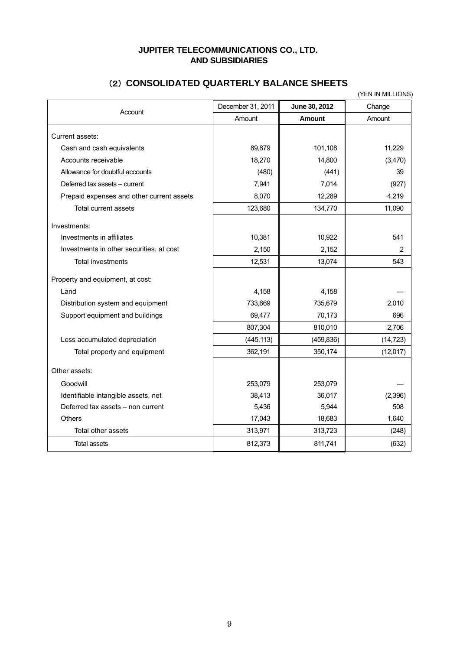## **JUPITER TELECOMMUNICATIONS CO., LTD. AND SUBSIDIARIES**

## (2) **CONSOLIDATED QUARTERLY BALANCE SHEETS**

|                                           |                   |               | (YEN IN MILLIONS) |
|-------------------------------------------|-------------------|---------------|-------------------|
| Account                                   | December 31, 2011 | June 30, 2012 | Change            |
|                                           | Amount            | <b>Amount</b> | Amount            |
| Current assets:                           |                   |               |                   |
| Cash and cash equivalents                 | 89,879            | 101,108       | 11,229            |
| Accounts receivable                       | 18,270            | 14,800        | (3,470)           |
| Allowance for doubtful accounts           | (480)             | (441)         | 39                |
| Deferred tax assets - current             | 7,941             | 7,014         | (927)             |
| Prepaid expenses and other current assets | 8,070             | 12,289        | 4,219             |
| Total current assets                      | 123,680           | 134,770       | 11,090            |
| Investments:                              |                   |               |                   |
| Investments in affiliates                 | 10,381            | 10,922        | 541               |
| Investments in other securities, at cost  | 2,150             | 2,152         | 2                 |
| <b>Total investments</b>                  | 12,531            | 13,074        | 543               |
| Property and equipment, at cost:          |                   |               |                   |
| Land                                      | 4,158             | 4,158         |                   |
| Distribution system and equipment         | 733,669           | 735,679       | 2,010             |
| Support equipment and buildings           | 69,477            | 70,173        | 696               |
|                                           | 807,304           | 810,010       | 2,706             |
| Less accumulated depreciation             | (445, 113)        | (459, 836)    | (14, 723)         |
| Total property and equipment              | 362,191           | 350,174       | (12,017)          |
| Other assets:                             |                   |               |                   |
| Goodwill                                  | 253,079           | 253,079       |                   |
| Identifiable intangible assets, net       | 38,413            | 36,017        | (2,396)           |
| Deferred tax assets - non current         | 5,436             | 5,944         | 508               |
| <b>Others</b>                             | 17,043            | 18,683        | 1,640             |
| Total other assets                        | 313,971           | 313,723       | (248)             |
| <b>Total assets</b>                       | 812,373           | 811,741       | (632)             |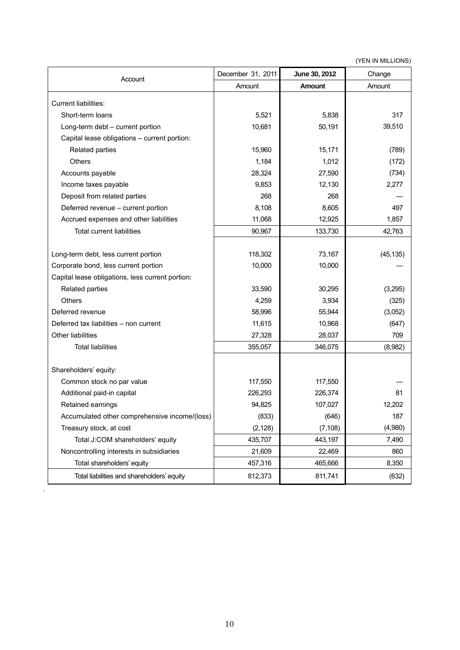(YEN IN MILLIONS)

| Account                                          | December 31, 2011 | June 30, 2012 | Change    |
|--------------------------------------------------|-------------------|---------------|-----------|
|                                                  | Amount            | <b>Amount</b> | Amount    |
| <b>Current liabilities:</b>                      |                   |               |           |
| Short-term loans                                 | 5,521             | 5,838         | 317       |
| Long-term debt - current portion                 | 10,681            | 50,191        | 39,510    |
| Capital lease obligations - current portion:     |                   |               |           |
| Related parties                                  | 15,960            | 15,171        | (789)     |
| Others                                           | 1,184             | 1,012         | (172)     |
| Accounts payable                                 | 28,324            | 27,590        | (734)     |
| Income taxes payable                             | 9,853             | 12,130        | 2,277     |
| Deposit from related parties                     | 268               | 268           |           |
| Deferred revenue - current portion               | 8,108             | 8,605         | 497       |
| Accrued expenses and other liabilities           | 11,068            | 12,925        | 1,857     |
| <b>Total current liabilities</b>                 | 90,967            | 133,730       | 42,763    |
|                                                  |                   |               |           |
| Long-term debt, less current portion             | 118,302           | 73,167        | (45, 135) |
| Corporate bond, less current portion             | 10,000            | 10,000        |           |
| Capital lease obligations, less current portion: |                   |               |           |
| Related parties                                  | 33,590            | 30,295        | (3,295)   |
| Others                                           | 4,259             | 3,934         | (325)     |
| Deferred revenue                                 | 58,996            | 55,944        | (3,052)   |
| Deferred tax liabilities - non current           | 11,615            | 10,968        | (647)     |
| Other liabilities                                | 27,328            | 28,037        | 709       |
| <b>Total liabilities</b>                         | 355,057           | 346,075       | (8,982)   |
|                                                  |                   |               |           |
| Shareholders' equity:                            |                   |               |           |
| Common stock no par value                        | 117,550           | 117,550       |           |
| Additional paid-in capital                       | 226,293           | 226,374       | 81        |
| Retained earnings                                | 94,825            | 107,027       | 12,202    |
| Accumulated other comprehensive income/(loss)    | (833)             | (646)         | 187       |
| Treasury stock, at cost                          | (2, 128)          | (7, 108)      | (4,980)   |
| Total J:COM shareholders' equity                 | 435,707           | 443,197       | 7,490     |
| Noncontrolling interests in subsidiaries         | 21,609            | 22,469        | 860       |
| Total shareholders' equity                       | 457,316           | 465,666       | 8,350     |
| Total liabilities and shareholders' equity       | 812,373           | 811,741       | (632)     |

.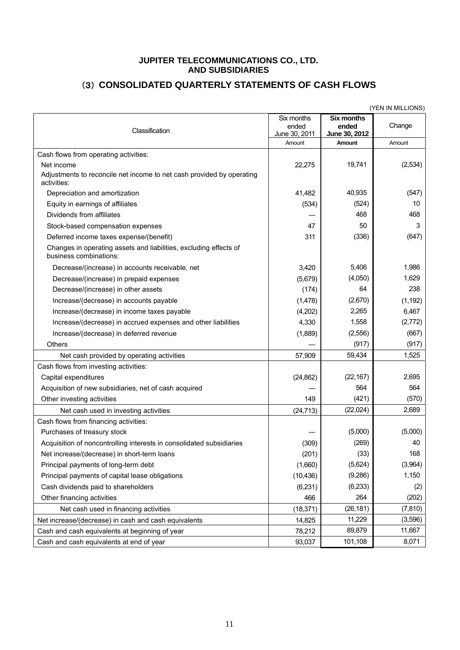### **JUPITER TELECOMMUNICATIONS CO., LTD. AND SUBSIDIARIES**

## (3) **CONSOLIDATED QUARTERLY STATEMENTS OF CASH FLOWS**

|                                                                                                    |                                      |                                             | (YEN IN MILLIONS) |
|----------------------------------------------------------------------------------------------------|--------------------------------------|---------------------------------------------|-------------------|
| Classification                                                                                     | Six months<br>ended<br>June 30, 2011 | <b>Six months</b><br>ended<br>June 30, 2012 | Change            |
|                                                                                                    | Amount                               | Amount                                      | Amount            |
| Cash flows from operating activities:                                                              |                                      |                                             |                   |
| Net income<br>Adjustments to reconcile net income to net cash provided by operating<br>activities: | 22,275                               | 19,741                                      | (2,534)           |
| Depreciation and amortization                                                                      | 41.482                               | 40,935                                      | (547)             |
| Equity in earnings of affiliates                                                                   | (534)                                | (524)                                       | 10                |
| Dividends from affiliates                                                                          |                                      | 468                                         | 468               |
| Stock-based compensation expenses                                                                  | 47                                   | 50                                          | 3                 |
| Deferred income taxes expense/(benefit)                                                            | 311                                  | (336)                                       | (647)             |
| Changes in operating assets and liabilities, excluding effects of<br>business combinations:        |                                      |                                             |                   |
| Decrease/(increase) in accounts receivable, net                                                    | 3,420                                | 5,406                                       | 1,986             |
| Decrease/(increase) in prepaid expenses                                                            | (5,679)                              | (4,050)                                     | 1,629             |
| Decrease/(increase) in other assets                                                                | (174)                                | 64                                          | 238               |
| Increase/(decrease) in accounts payable                                                            | (1,478)                              | (2,670)                                     | (1, 192)          |
| Increase/(decrease) in income taxes payable                                                        | (4,202)                              | 2,265                                       | 6,467             |
| Increase/(decrease) in accrued expenses and other liabilities                                      | 4,330                                | 1,558                                       | (2,772)           |
| Increase/(decrease) in deferred revenue                                                            | (1,889)                              | (2, 556)                                    | (667)             |
| <b>Others</b>                                                                                      |                                      | (917)                                       | (917)             |
| Net cash provided by operating activities                                                          | 57,909                               | 59,434                                      | 1,525             |
| Cash flows from investing activities:                                                              |                                      |                                             |                   |
| Capital expenditures                                                                               | (24, 862)                            | (22, 167)                                   | 2,695             |
| Acquisition of new subsidiaries, net of cash acquired                                              |                                      | 564                                         | 564               |
| Other investing activities                                                                         | 149                                  | (421)                                       | (570)             |
| Net cash used in investing activities                                                              | (24, 713)                            | (22, 024)                                   | 2,689             |
| Cash flows from financing activities:                                                              |                                      |                                             |                   |
| Purchases of treasury stock                                                                        |                                      | (5,000)                                     | (5,000)           |
| Acquisition of noncontrolling interests in consolidated subsidiaries                               | (309)                                | (269)                                       | 40                |
| Net increase/(decrease) in short-term loans                                                        | (201)                                | (33)                                        | 168               |
| Principal payments of long-term debt                                                               | (1,660)                              | (5,624)                                     | (3,964)           |
| Principal payments of capital lease obligations                                                    | (10, 436)                            | (9,286)                                     | 1,150             |
| Cash dividends paid to shareholders                                                                | (6,231)                              | (6, 233)                                    | (2)               |
| Other financing activities                                                                         | 466                                  | 264                                         | (202)             |
| Net cash used in financing activities                                                              | (18, 371)                            | (26, 181)                                   | (7, 810)          |
| Net increase/(decrease) in cash and cash equivalents                                               | 14,825                               | 11,229                                      | (3,596)           |
| Cash and cash equivalents at beginning of year                                                     | 78,212                               | 89,879                                      | 11,667            |
| Cash and cash equivalents at end of year                                                           | 93,037                               | 101,108                                     | 8,071             |